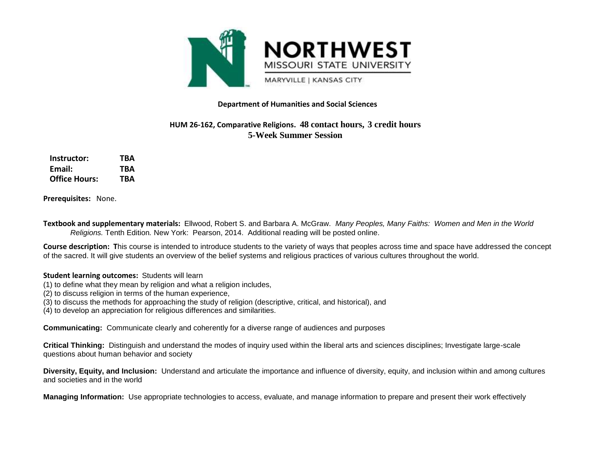

## **Department of Humanities and Social Sciences**

## **HUM 26-162, Comparative Religions. 48 contact hours, 3 credit hours 5-Week Summer Session**

| Instructor:          | TBA |
|----------------------|-----|
| Email:               | TBA |
| <b>Office Hours:</b> | TBA |

**Prerequisites:** None.

**Textbook and supplementary materials:** Ellwood, Robert S. and Barbara A. McGraw. *Many Peoples, Many Faiths: Women and Men in the World Religions.* Tenth Edition*.* New York: Pearson, 2014. Additional reading will be posted online.

**Course description: T**his course is intended to introduce students to the variety of ways that peoples across time and space have addressed the concept of the sacred. It will give students an overview of the belief systems and religious practices of various cultures throughout the world.

## **Student learning outcomes:** Students will learn

- (1) to define what they mean by religion and what a religion includes,
- (2) to discuss religion in terms of the human experience,
- (3) to discuss the methods for approaching the study of religion (descriptive, critical, and historical), and
- (4) to develop an appreciation for religious differences and similarities.

**Communicating:** Communicate clearly and coherently for a diverse range of audiences and purposes

**Critical Thinking:** Distinguish and understand the modes of inquiry used within the liberal arts and sciences disciplines; Investigate large-scale questions about human behavior and society

**Diversity, Equity, and Inclusion:** Understand and articulate the importance and influence of diversity, equity, and inclusion within and among cultures and societies and in the world

**Managing Information:** Use appropriate technologies to access, evaluate, and manage information to prepare and present their work effectively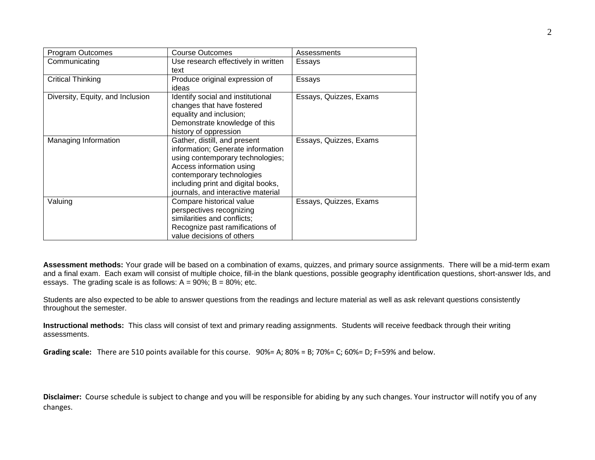| Program Outcomes                 | <b>Course Outcomes</b>              | Assessments            |
|----------------------------------|-------------------------------------|------------------------|
| Communicating                    | Use research effectively in written | Essays                 |
|                                  | text                                |                        |
| <b>Critical Thinking</b>         | Produce original expression of      | Essays                 |
|                                  | ideas                               |                        |
| Diversity, Equity, and Inclusion | Identify social and institutional   | Essays, Quizzes, Exams |
|                                  | changes that have fostered          |                        |
|                                  | equality and inclusion;             |                        |
|                                  | Demonstrate knowledge of this       |                        |
|                                  | history of oppression               |                        |
| Managing Information             | Gather, distill, and present        | Essays, Quizzes, Exams |
|                                  | information; Generate information   |                        |
|                                  | using contemporary technologies;    |                        |
|                                  | Access information using            |                        |
|                                  | contemporary technologies           |                        |
|                                  | including print and digital books,  |                        |
|                                  | journals, and interactive material  |                        |
| Valuing                          | Compare historical value            | Essays, Quizzes, Exams |
|                                  | perspectives recognizing            |                        |
|                                  | similarities and conflicts;         |                        |
|                                  | Recognize past ramifications of     |                        |
|                                  | value decisions of others           |                        |

**Assessment methods:** Your grade will be based on a combination of exams, quizzes, and primary source assignments. There will be a mid-term exam and a final exam. Each exam will consist of multiple choice, fill-in the blank questions, possible geography identification questions, short-answer Ids, and essays. The grading scale is as follows:  $A = 90\%$ ; B = 80%; etc.

Students are also expected to be able to answer questions from the readings and lecture material as well as ask relevant questions consistently throughout the semester.

**Instructional methods:** This class will consist of text and primary reading assignments. Students will receive feedback through their writing assessments.

**Grading scale:** There are 510 points available for this course. 90%= A; 80% = B; 70%= C; 60%= D; F=59% and below.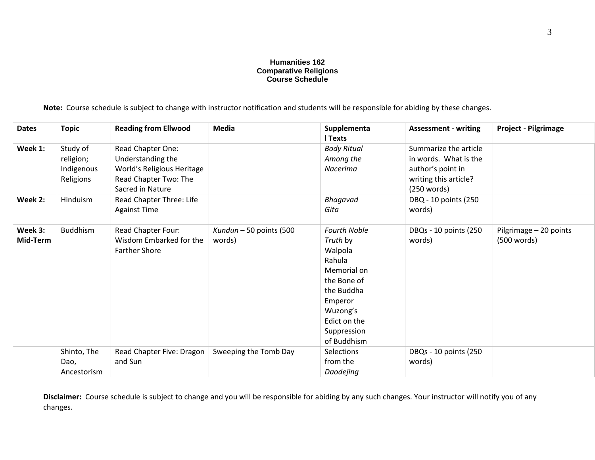## **Humanities 162 Comparative Religions Course Schedule**

**Note:** Course schedule is subject to change with instructor notification and students will be responsible for abiding by these changes.

| <b>Dates</b>        | <b>Topic</b>                                     | <b>Reading from Ellwood</b>                                                                                       | Media                             | Supplementa<br><b>I</b> Texts                                                                                                                                         | <b>Assessment - writing</b>                                                                                 | <b>Project - Pilgrimage</b>           |
|---------------------|--------------------------------------------------|-------------------------------------------------------------------------------------------------------------------|-----------------------------------|-----------------------------------------------------------------------------------------------------------------------------------------------------------------------|-------------------------------------------------------------------------------------------------------------|---------------------------------------|
| Week 1:             | Study of<br>religion;<br>Indigenous<br>Religions | Read Chapter One:<br>Understanding the<br>World's Religious Heritage<br>Read Chapter Two: The<br>Sacred in Nature |                                   | <b>Body Ritual</b><br>Among the<br>Nacerima                                                                                                                           | Summarize the article<br>in words. What is the<br>author's point in<br>writing this article?<br>(250 words) |                                       |
| Week 2:             | Hinduism                                         | Read Chapter Three: Life<br><b>Against Time</b>                                                                   |                                   | Bhagavad<br>Gita                                                                                                                                                      | DBQ - 10 points (250<br>words)                                                                              |                                       |
| Week 3:<br>Mid-Term | <b>Buddhism</b>                                  | Read Chapter Four:<br>Wisdom Embarked for the<br><b>Farther Shore</b>                                             | Kundun – 50 points (500<br>words) | <b>Fourth Noble</b><br>Truth by<br>Walpola<br>Rahula<br>Memorial on<br>the Bone of<br>the Buddha<br>Emperor<br>Wuzong's<br>Edict on the<br>Suppression<br>of Buddhism | DBQs - 10 points (250<br>words)                                                                             | Pilgrimage - 20 points<br>(500 words) |
|                     | Shinto, The<br>Dao,<br>Ancestorism               | Read Chapter Five: Dragon<br>and Sun                                                                              | Sweeping the Tomb Day             | Selections<br>from the<br>Daodejing                                                                                                                                   | DBQs - 10 points (250<br>words)                                                                             |                                       |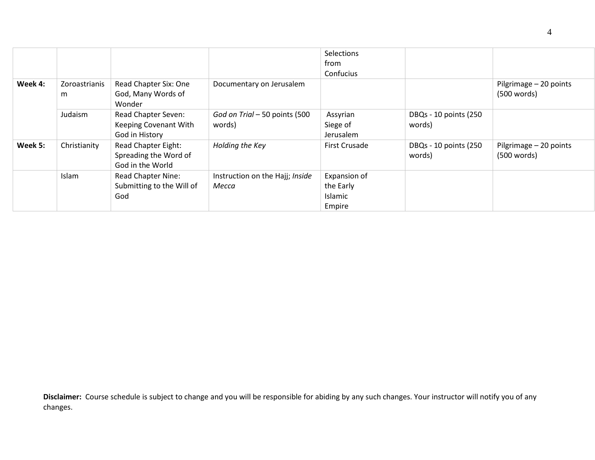|         |                    |                                                                         |                                          | Selections<br>from<br>Confucius                |                                 |                                       |
|---------|--------------------|-------------------------------------------------------------------------|------------------------------------------|------------------------------------------------|---------------------------------|---------------------------------------|
| Week 4: | Zoroastrianis<br>m | Read Chapter Six: One<br>God, Many Words of<br>Wonder                   | Documentary on Jerusalem                 |                                                |                                 | Pilgrimage - 20 points<br>(500 words) |
|         | Judaism            | <b>Read Chapter Seven:</b><br>Keeping Covenant With<br>God in History   | God on Trial - 50 points (500<br>words)  | Assyrian<br>Siege of<br>Jerusalem              | DBQs - 10 points (250<br>words) |                                       |
| Week 5: | Christianity       | <b>Read Chapter Eight:</b><br>Spreading the Word of<br>God in the World | Holding the Key                          | <b>First Crusade</b>                           | DBQs - 10 points (250<br>words) | Pilgrimage - 20 points<br>(500 words) |
|         | Islam              | <b>Read Chapter Nine:</b><br>Submitting to the Will of<br>God           | Instruction on the Hajj; Inside<br>Месса | Expansion of<br>the Early<br>Islamic<br>Empire |                                 |                                       |